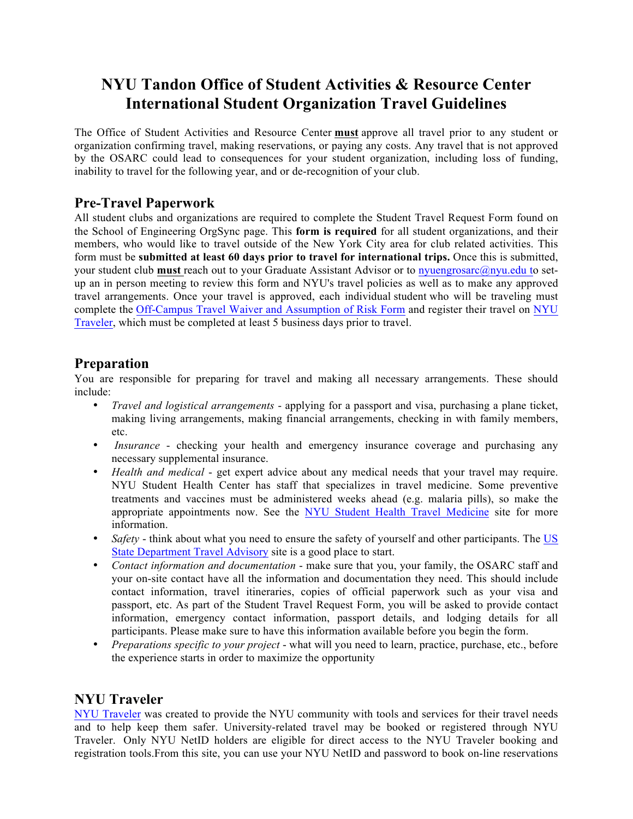# **NYU Tandon Office of Student Activities & Resource Center International Student Organization Travel Guidelines**

The Office of Student Activities and Resource Center **must** approve all travel prior to any student or organization confirming travel, making reservations, or paying any costs. Any travel that is not approved by the OSARC could lead to consequences for your student organization, including loss of funding, inability to travel for the following year, and or de-recognition of your club.

## **Pre-Travel Paperwork**

All student clubs and organizations are required to complete the Student Travel Request Form found on the School of Engineering OrgSync page. This **form is required** for all student organizations, and their members, who would like to travel outside of the New York City area for club related activities. This form must be **submitted at least 60 days prior to travel for international trips.** Once this is submitted, your student club **must** reach out to your Graduate Assistant Advisor or to nyuengrosarc@nyu.edu to setup an in person meeting to review this form and NYU's travel policies as well as to make any approved travel arrangements. Once your travel is approved, each individual student who will be traveling must complete the Off-Campus Travel Waiver and Assumption of Risk Form and register their travel on NYU Traveler, which must be completed at least 5 business days prior to travel.

## **Preparation**

You are responsible for preparing for travel and making all necessary arrangements. These should include:

- *Travel and logistical arrangements*  applying for a passport and visa, purchasing a plane ticket, making living arrangements, making financial arrangements, checking in with family members, etc.
- *Insurance* checking your health and emergency insurance coverage and purchasing any necessary supplemental insurance.
- *Health and medical*  get expert advice about any medical needs that your travel may require. NYU Student Health Center has staff that specializes in travel medicine. Some preventive treatments and vaccines must be administered weeks ahead (e.g. malaria pills), so make the appropriate appointments now. See the NYU Student Health Travel Medicine site for more information.
- *Safety* think about what you need to ensure the safety of yourself and other participants. The US State Department Travel Advisory site is a good place to start.
- *Contact information and documentation*  make sure that you, your family, the OSARC staff and your on-site contact have all the information and documentation they need. This should include contact information, travel itineraries, copies of official paperwork such as your visa and passport, etc. As part of the Student Travel Request Form, you will be asked to provide contact information, emergency contact information, passport details, and lodging details for all participants. Please make sure to have this information available before you begin the form.
- *Preparations specific to your project*  what will you need to learn, practice, purchase, etc., before the experience starts in order to maximize the opportunity

## **NYU Traveler**

NYU Traveler was created to provide the NYU community with tools and services for their travel needs and to help keep them safer. University-related travel may be booked or registered through NYU Traveler. Only NYU NetID holders are eligible for direct access to the NYU Traveler booking and registration tools.From this site, you can use your NYU NetID and password to book on-line reservations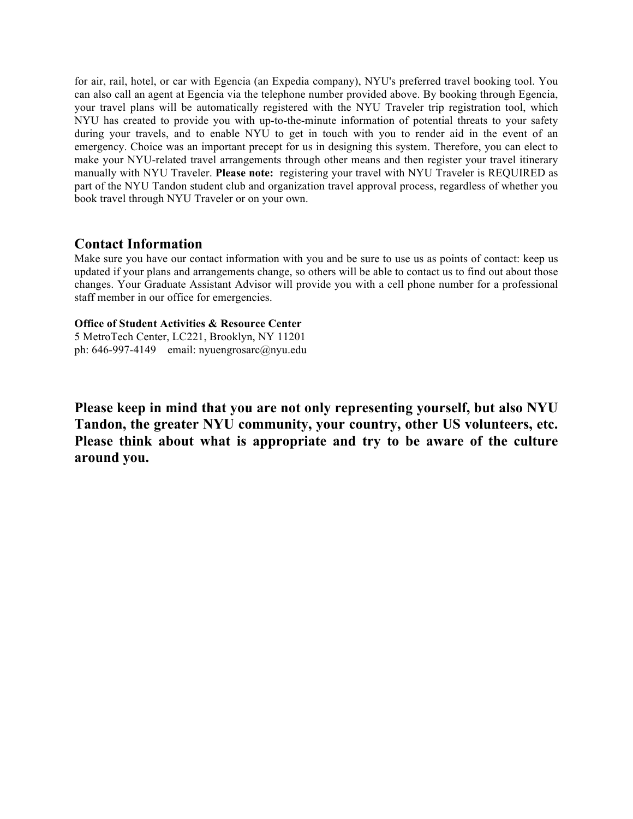for air, rail, hotel, or car with Egencia (an Expedia company), NYU's preferred travel booking tool. You can also call an agent at Egencia via the telephone number provided above. By booking through Egencia, your travel plans will be automatically registered with the NYU Traveler trip registration tool, which NYU has created to provide you with up-to-the-minute information of potential threats to your safety during your travels, and to enable NYU to get in touch with you to render aid in the event of an emergency. Choice was an important precept for us in designing this system. Therefore, you can elect to make your NYU-related travel arrangements through other means and then register your travel itinerary manually with NYU Traveler. **Please note:** registering your travel with NYU Traveler is REQUIRED as part of the NYU Tandon student club and organization travel approval process, regardless of whether you book travel through NYU Traveler or on your own.

### **Contact Information**

Make sure you have our contact information with you and be sure to use us as points of contact: keep us updated if your plans and arrangements change, so others will be able to contact us to find out about those changes. Your Graduate Assistant Advisor will provide you with a cell phone number for a professional staff member in our office for emergencies.

### **Office of Student Activities & Resource Center**

5 MetroTech Center, LC221, Brooklyn, NY 11201 ph: 646-997-4149 email: nyuengrosarc@nyu.edu

**Please keep in mind that you are not only representing yourself, but also NYU Tandon, the greater NYU community, your country, other US volunteers, etc. Please think about what is appropriate and try to be aware of the culture around you.**